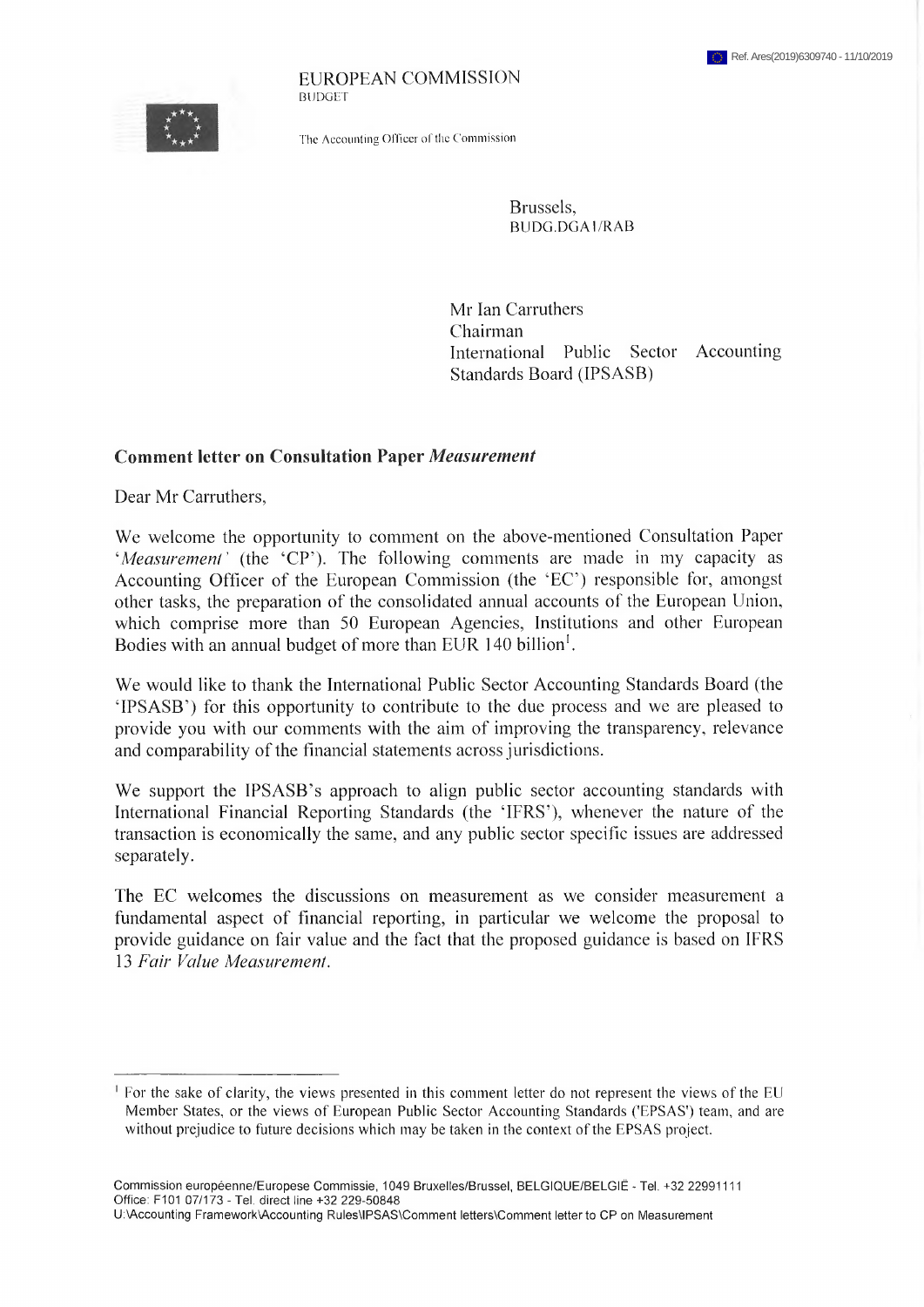EUROPEAN COMMISSION **BUDGET** 

The Accounting Officer of the Commission

Brussels, BUDG.DGAl/RAB

Mr Ian Carruthers Chairman International Public Sector Accounting Standards Board (IPSASB)

#### **Comment letter on Consultation Paper** *Measurement*

Dear Mr Carruthers,

We welcome the opportunity to comment on the above-mentioned Consultation Paper 'Measurement' (the 'CP'). The following comments are made in my capacity as Accounting Officer of the European Commission (the 'EC') responsible for, amongst other tasks, the preparation of the consolidated annual accounts of the European Union, which comprise more than 50 European Agencies, Institutions and other European Bodies with an annual budget of more than EUR 140 billion<sup>1</sup>.

We would like to thank the International Public Sector Accounting Standards Board (the 'IPSASB') for this opportunity to contribute to the due process and we are pleased to provide you with our comments with the aim of improving the transparency, relevance and comparability of the financial statements across jurisdictions.

We support the IPSASB's approach to align public sector accounting standards with International Financial Reporting Standards (the 'IFRS'), whenever the nature of the transaction is economically the same, and any public sector specific issues are addressed separately.

The EC welcomes the discussions on measurement as we consider measurement a fundamental aspect of financial reporting, in particular we welcome the proposal to provide guidance on fair value and the fact that the proposed guidance is based on IFRS 13 *Fair Value Measurement*.

<sup>&</sup>lt;sup>1</sup> For the sake of clarity, the views presented in this comment letter do not represent the views of the EU Member States, or the views of European Public Sector Accounting Standards ('EPSAS') team, and are without prejudice to future decisions which may be taken in the context of the EPSAS project.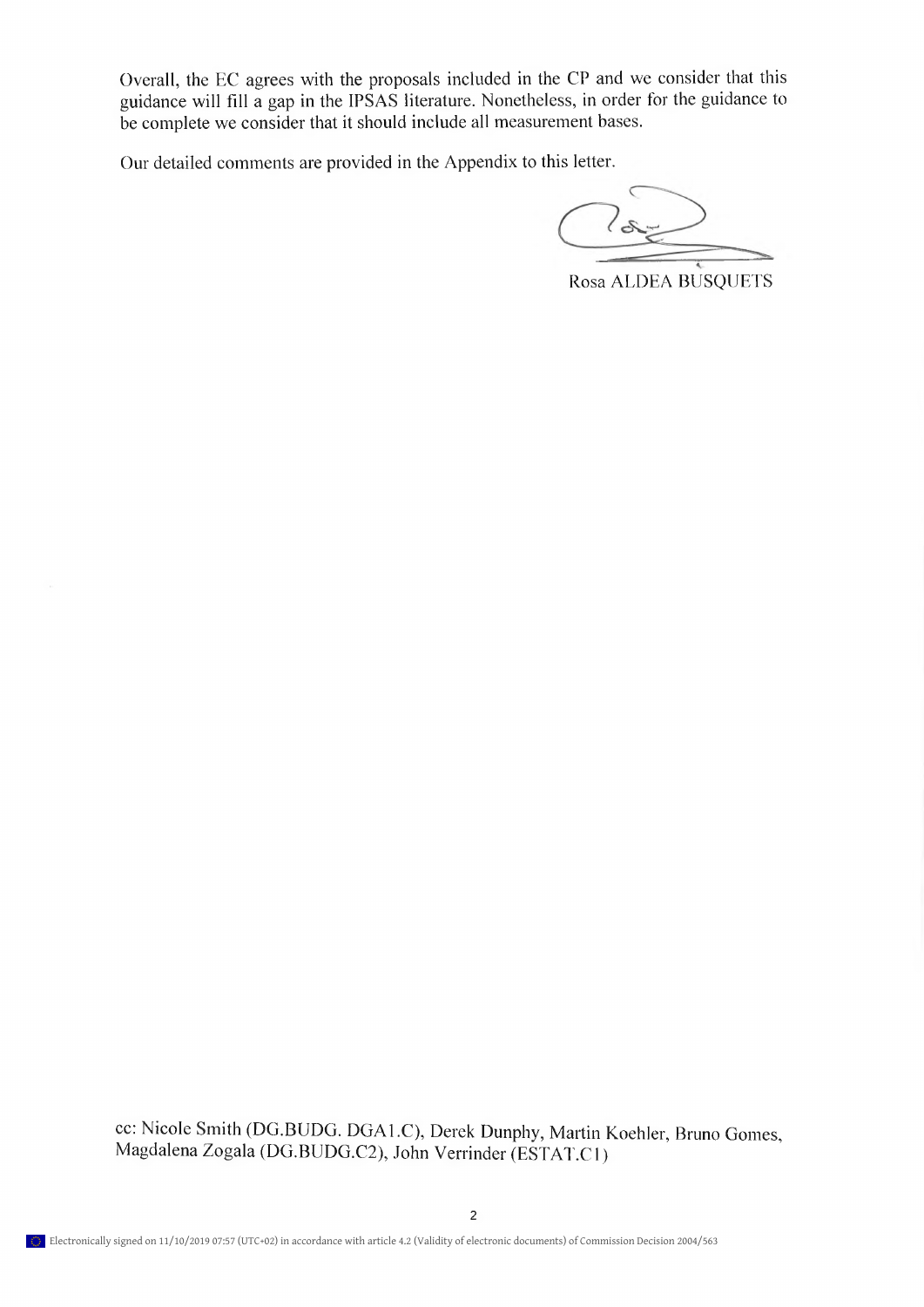Overall, the EC agrees with the proposals included in the CP and we consider that this guidance will fill a gap in the IPSAS literature. Nonetheless, in order for the guidance to be complete we consider that it should include all measurement bases.

Our detailed comments are provided in the Appendix to this letter.

 $ds$ 

Rosa ALDEA BUSQUETS

cc: Nicole Smith (DG.BUDG. DGA1.C), Derek Dunphy, Martin Koehler, Bruno Gomes, Magdalena Žogala (DG.BUDG.C2), John Verrinder (ESTAT.C1)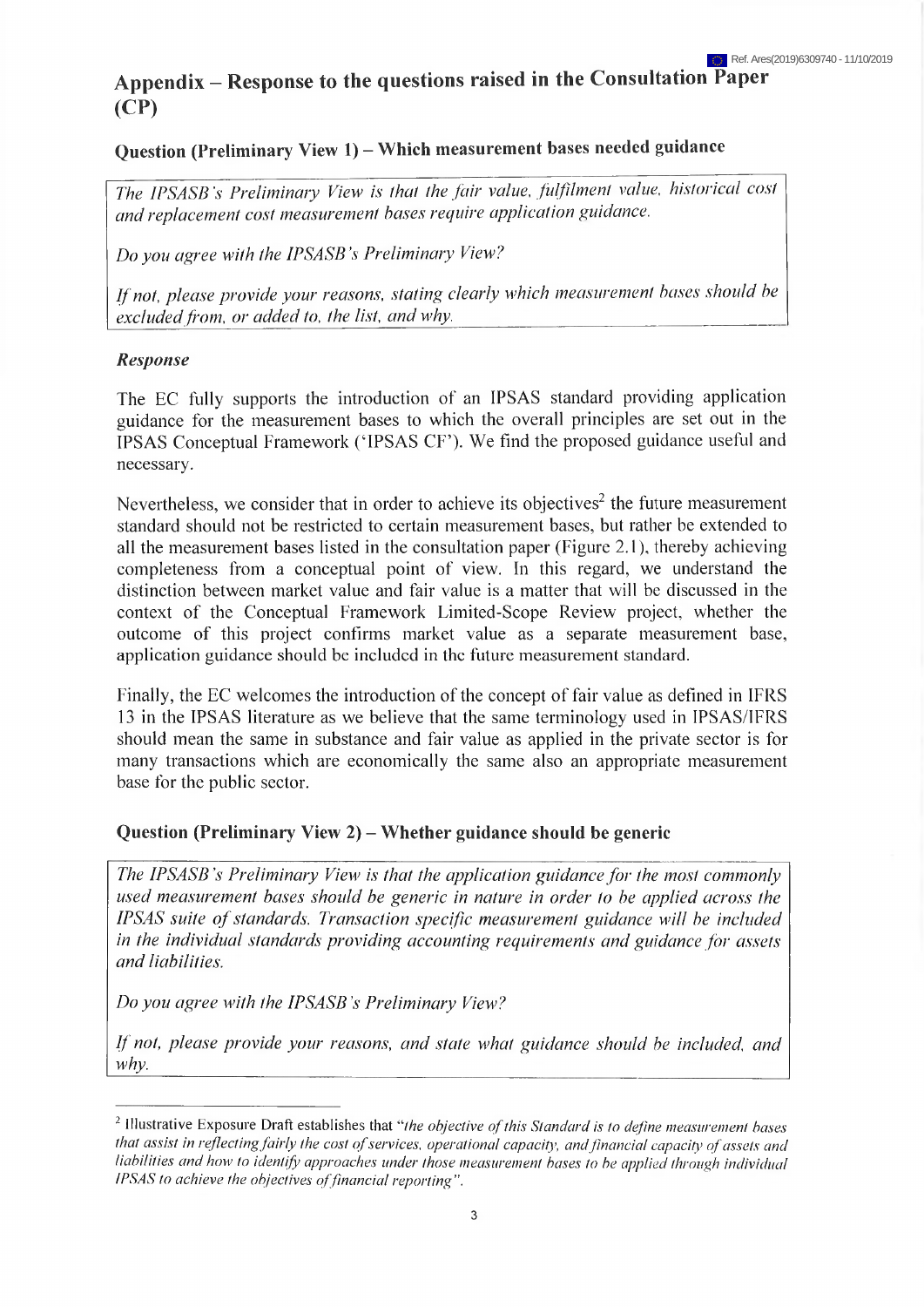# **Appendix - Response to the questions raised in the Consultation Paper (CP)**

# **Question (Preliminary View 1) - Which measurement bases needed guidance**

*The IPSASB's Preliminary View is that the fair value, fulfilment value, historical cost and replacement cost measurement bases require application guidance.*

*Do you agree with the IPSASB 's Preliminary View?*

*Ifnot, please provide your reasons, stating clearly which measurement bases should be excluded from, or added to, the list, and why.*

#### *Response*

The EC fully supports the introduetion of an IPSAS standard providing application guidance for the measurement bases to which the overall principles are set out in the IPSAS Conceptual Framework ('IPSAS CF'). We find the proposed guidance useful and necessary.

Nevertheless, we consider that in order to achieve its objectives<sup>2</sup> the future measurement standard should not be restricted to certain measurement bases, but rather be extended to all the measurement bases listed in the consultation paper (Figure 2.1), thereby achieving completeness from a conceptual point of view. In this regard, we understand the distinction between market value and fair value is a matter that will be discussed in the context of the Conceptual Framework Limited-Scope Review project, whether the outcome of this project confirms market value as a separate measurement base, application guidance should be included in the future measurement standard.

Finally, the EC welcomes the introduction of the concept of fair value as defined in IFRS 13 in the IPSAS literature as we believe that the same terminology used in IPSAS/IFRS should mean the same in substance and fair value as applied in the private sector is for many transactions which are economically the same also an appropriate measurement base for the public sector.

#### **Question (Preliminary View 2) - Whether guidance should be generic**

*The IPSASB's Preliminary View is that the application guidancefor the most commonly used measurement bases should be generic in nature in order to be applied across the IPSAS suite ofstandards. Transaction specific measurement guidance will be included in the individual standards providing accounting requirements and guidance for assets and liabilities.*

*Do you agree with the IPSASB's Preliminary View?*

*If not, please provide your reasons, and state what guidance should be included, and why.*

*<sup>2</sup>* Illustrative Exposure Draft establishes that *"the objective ofthis Standard is to define measurement bases that assist in reflectingfairly the cost ofservices, operational capacity, and financial capacity ofassets and liabilities and how to identify approaches under those measurement bases to be applied through individual IPSAS* to achieve the objectives of financial reporting".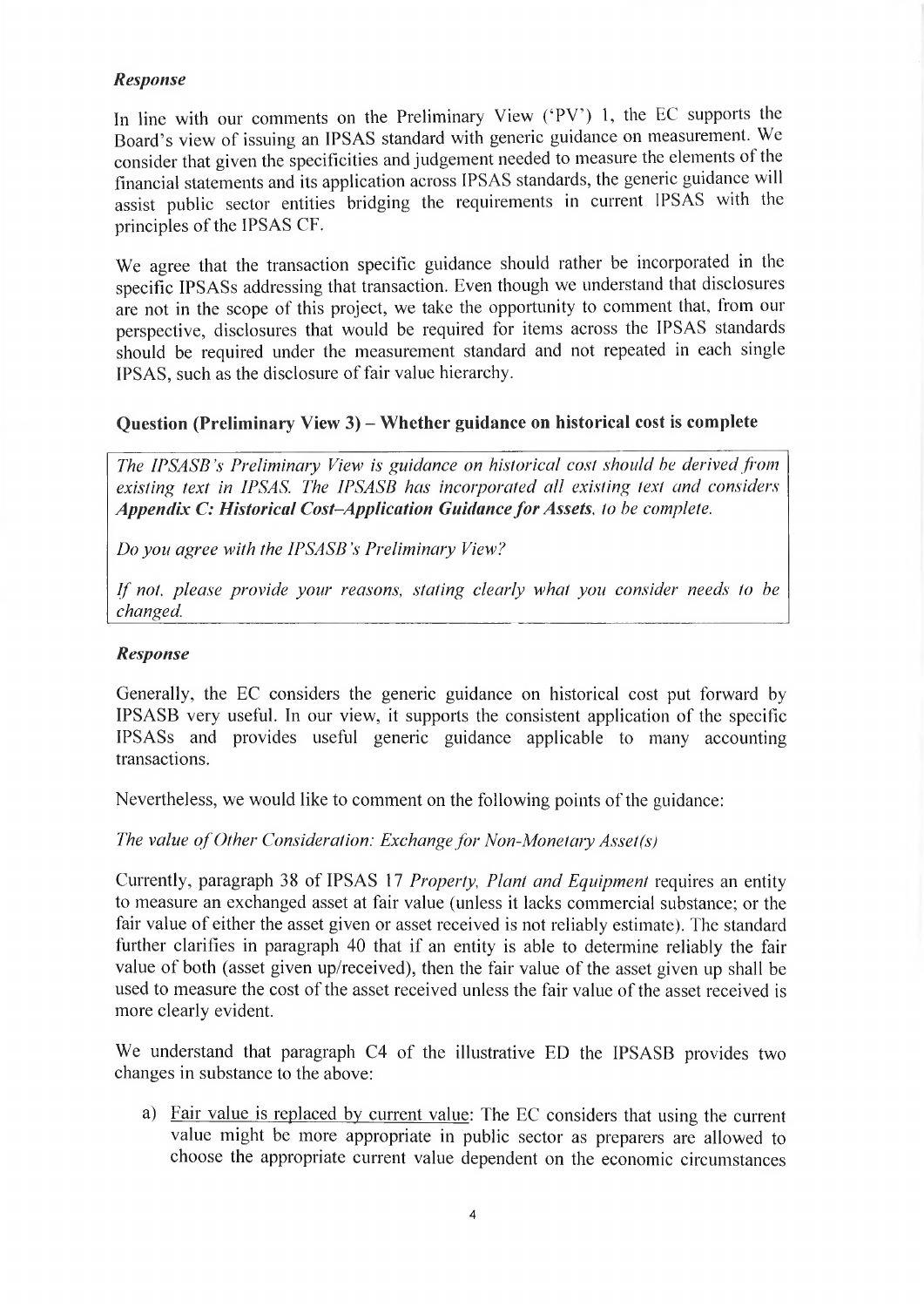# *Response*

In line with our comments on the Preliminary View ('PV') 1, the EC supports the Board's view of issuing an IPSAS standard with generic guidance on measurement. We consider that given the specificities and judgement needed to measure the elements ot the financial statements and its application across IPSAS standards, the generic guidance will assist public sector entities bridging the requirements in current IPSAS with the principles of the IPSAS CF.

We agree that the transaction specific guidance should rather be incorporated in the specific IPSASs addressing that transaction. Even though we understand that disclosures are not in the scope of this project, we take the opportunity to comment that, from our perspective, disclosures that would be required for items across the IPSAS standards should be required under the measurement standard and not repeated in each single IPSAS, such as the disclosure of fair value hierarchy.

#### **Question (Preliminary View 3) - Whether guidance on historical cost is complete**

*The IPSASB's Preliminary View is guidance on historical cost should be derived from existing text in IPSAS. The IPSASB has incorporated all existing text and considers Appendix C: Historical Cost-Application GuidanceforAssets, to be complete.*

*Do you agree with the IPSASB's Preliminary View?*

*If not*, *please provide your reasons, stating clearly what you consider needs to be changed.*

#### *Response*

Generally, the EC considers the generic guidance on historical cost put forward by IPSASB very useful. In our view, it supports the consistent application of the specific IPSASs and provides useful generic guidance applicable to many accounting transactions.

Nevertheless, we would like to comment on the following points of the guidance:

*The value of Other Consideration: Exchange for Non-Monetary Asset(s)* 

Currently, paragraph 38 of IPSAS 17 *Properly, Plant and Equipment* requires an entity to measure an exchanged asset at fair value (unless it lacks commercial substance; or the fair value of either the asset given or asset received is not reliably estimate). The standard further clarifies in paragraph 40 that if an entity is able to determine reliably the fair value of both (asset given up/received), then the fair value of the asset given up shall be used to measure the cost of the asset received unless the fair value of the asset received is more clearly evident.

We understand that paragraph C4 of the illustrative ED the IPSASB provides two changes in substance to the above:

a) Fair value is replaced by current value: The EC considers that using the current value might be more appropriate in public sector as preparers are allowed to choose the appropriate current value dependent on the economic circumstances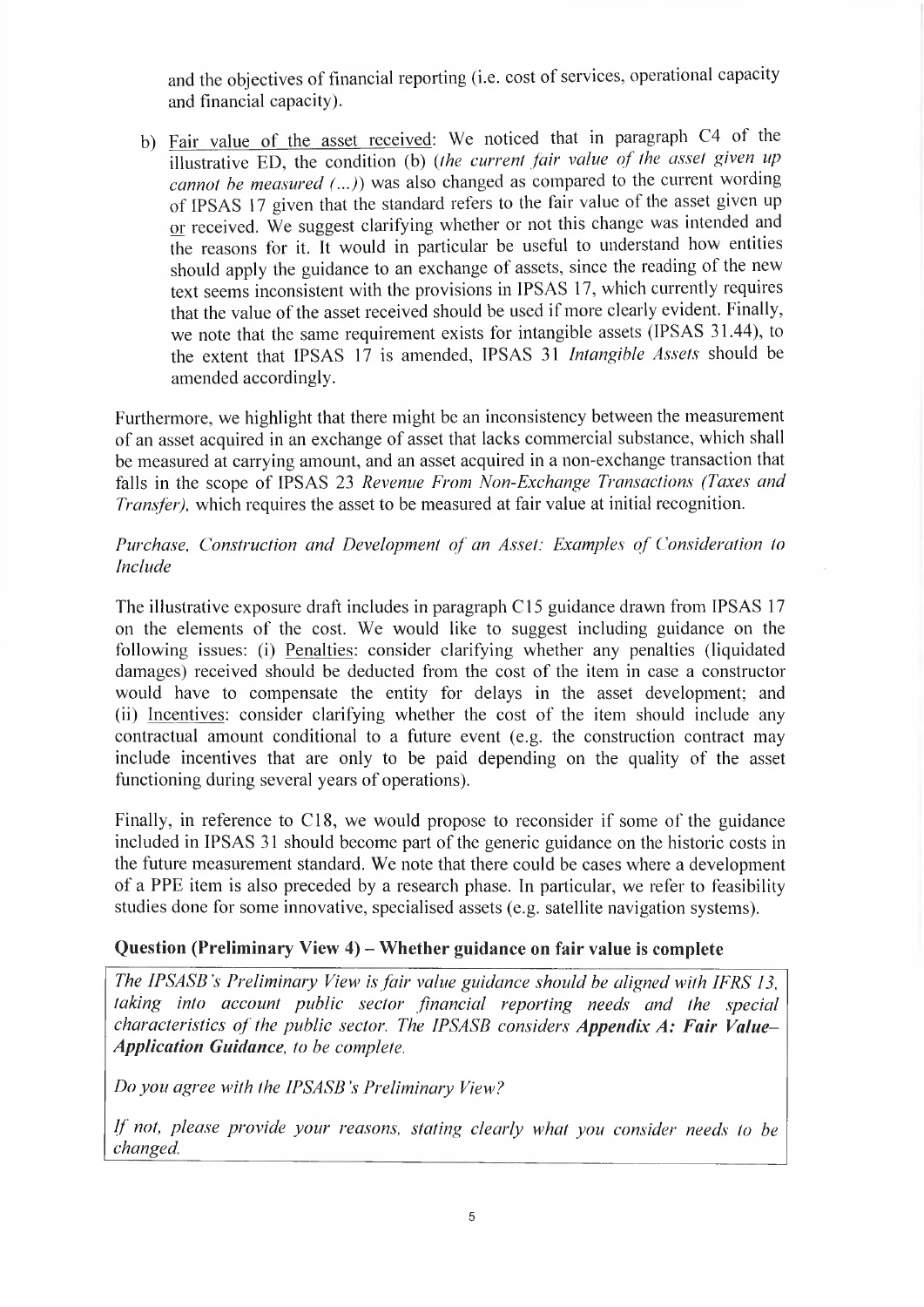and the objectives of financial reporting (i.e. cost of services, operational capacity and financial capacity).

b) Fair value of the asset received: We noticed that in paragraph C4 of the illustrative ED, the condition (b) (*the current fair value of the asset given up cannot be measured* (...)) was also changed as compared to the current wording of IPSAS 17 given that the standard refers to the fair value of the asset given up or received. We suggest clarifying whether or not this change was intended and the reasons for it. It would in particular be useful to understand how entities should apply the guidance to an exchange of assets, since the reading of the new text seems inconsistent with the provisions in IPSAS 17, which currently requires that the value of the asset received should be used if more clearly evident. Finally, we note that the same requirement exists for intangible assets (IPSAS 31.44), to the extent that IPSAS 17 is amended, IPSAS 31 *Intangible Assets* should be amended accordingly.

Furthermore, we highlight that there might be an inconsistency between the measurement of an asset acquired in an exchange of asset that lacks commercial substance, which shall be measured at carrying amount, and an asset acquired in a non-exchange transaction that falls in the scope of IPSAS 23 *Revenue From Non-Exchange Transactions (Taxes and Transfer),* which requires the asset to be measured at fair value at initial recognition.

*Purchase, Construction and Development of an Asset: Examples of Consideration to Include*

The illustrative exposure draft includes in paragraph Cl5 guidance drawn from IPSAS <sup>17</sup> on the elements of the cost. We would like to suggest including guidance on the following issues: (i) Penalties: consider clarifying whether any penalties (liquidated damages) received should be deducted from the cost of the item in case a constructor would have to compensate the entity for delays in the asset development; and (ii) Incentives: consider clarifying whether the cost of the item should include any contractual amount conditional to a future event (e.g. the construction contract may include incentives that are only to be paid depending on the quality of the asset functioning during several years of operations).

Finally, in reference to Cl8, we would propose to reconsider if some of the guidance included in IPSAS 31 should become part of the generic guidance on the historic costs in the future measurement standard. We note that there could be cases where a development of a PPE item is also preceded by a research phase. In particular, we refer to feasibility studies done for some innovative, specialised assets (e.g. satellite navigation systems).

#### **Question (Preliminary View 4) - Whether guidance on fair value is complete**

*The IPSASB 's Preliminary View is fair value guidance should be aligned with IFRS 13, taking into account public sector financial reporting needs and the special characteristics of the public sector. The IPSASB considers Appendix A: Fair Value-Application Guidance, to be complete.*

*Do you agree with the IPSASB 's Preliminary Vieve?*

*If not, please provide your reasons, stating clearly what you consider needs to be changed.*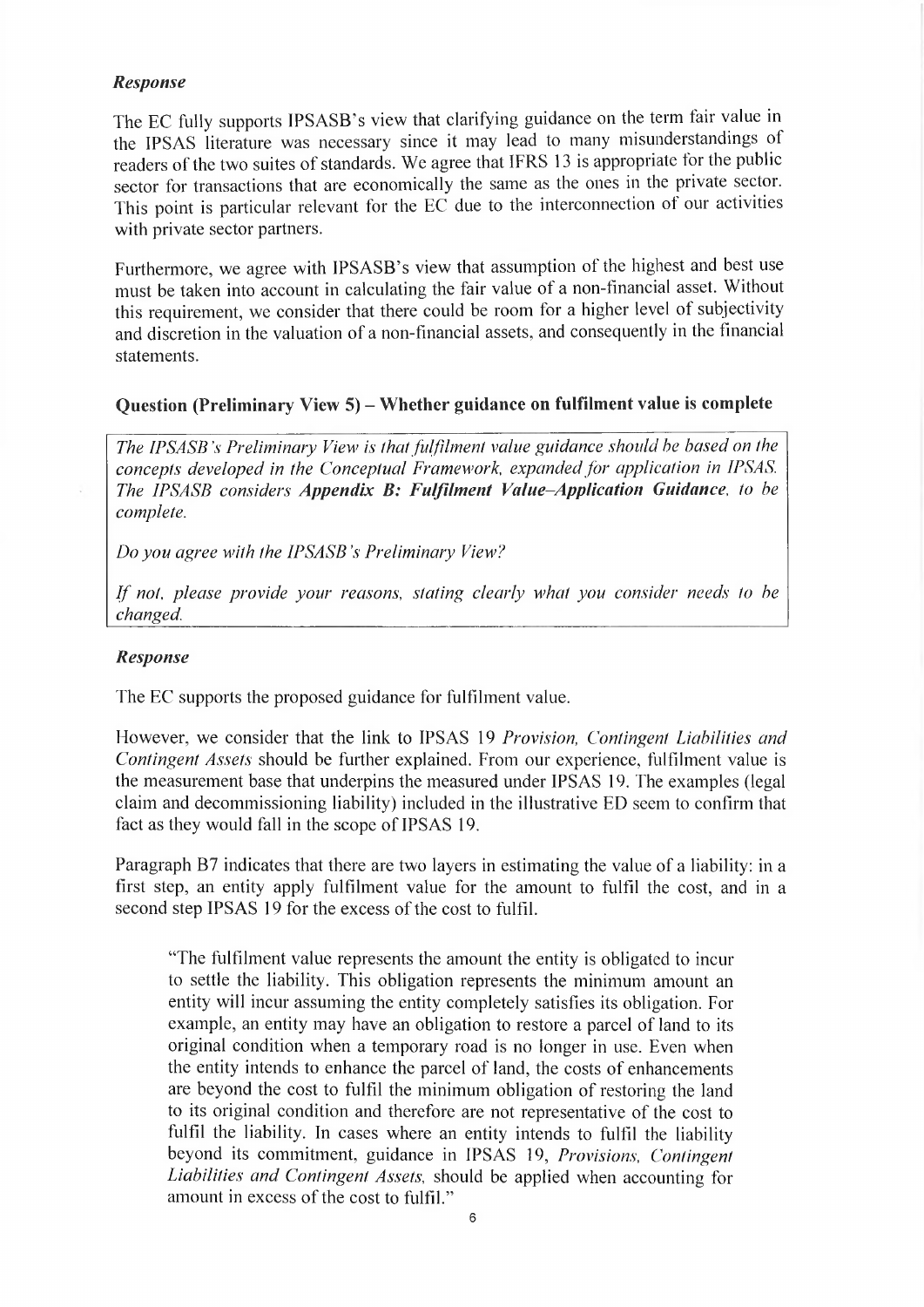#### *Response*

The EC fully supports IPSASB's view that clarifying guidance on the term fair value in the IPSAS literature was necessary since it may lead to many misunderstandings oí readers of the two suites of standards. We agree that IFRS 13 is appropriate for the public sector for transactions that are economically the same as the ones in the private sector. This point is particular relevant for the EC due to the interconnection of our activities with private sector partners.

Furthermore, we agree with IPSASB's view that assumption of the highest and best use must be taken into account in calculating the fair value of a non-financial asset. Without this requirement, we consider that there could be room for a higher level of subjectivity and discretion in the valuation of a non-financial assets, and consequently in the financial statements.

# **Question (Preliminary View 5) - Whether guidance on fulfilment value is complete**

*The IPSASB 's Preliminary View is ihat fulfilment value guidance should he based on the concepts developed in the Conceptual Framework expanded for application in IPSAS. The IPSASB considers Appendix B: Fulfilment Value-Application Guidance*, *to be complete.*

*Do you agree with the IPSASB 's Preliminary View?*

*If not*, *please provide your reasons, stating clearly what you consider needs to be changed.*

#### *Response*

The EC supports the proposed guidance for fulfilment value.

Flowever, we consider that the link to IPSAS 19 *Provision, Contingent Liabilities and Contingent Assets* should be further explained. From our experience, fulfilment value is the measurement base that underpins the measured under IPSAS 19. The examples (legal claim and decommissioning liability) included in the illustrative ED seem to confirm that fact as they would fall in the scope of IPSAS 19.

Paragraph B7 indicates that there are two layers in estimating the value of a liability: in a first step, an entity apply fulfilment value for the amount to fulfil the cost, and in a second step IPSAS 19 for the excess of the cost to fulfil.

"The fulfilment value represents the amount the entity is obligated to incur to settle the liability. This obligation represents the minimum amount an entity will incur assuming the entity completely satisfies its obligation. For example, an entity may have an obligation to restore a parcel of land to its original condition when a temporary road is no longer in use. Even when the entity intends to enhance the parcel of land, the costs of enhancements are beyond the cost to fulfil the minimum obligation of restoring the land to its original condition and therefore are not representative of the cost to fulfil the liability. In cases where an entity intends to fulfil the liability beyond its commitment, guidance in IPSAS 19, *Provisions, Contingent Liabilities and Contingent Assets,* should be applied when accounting for amount in excess of the cost to fulfil."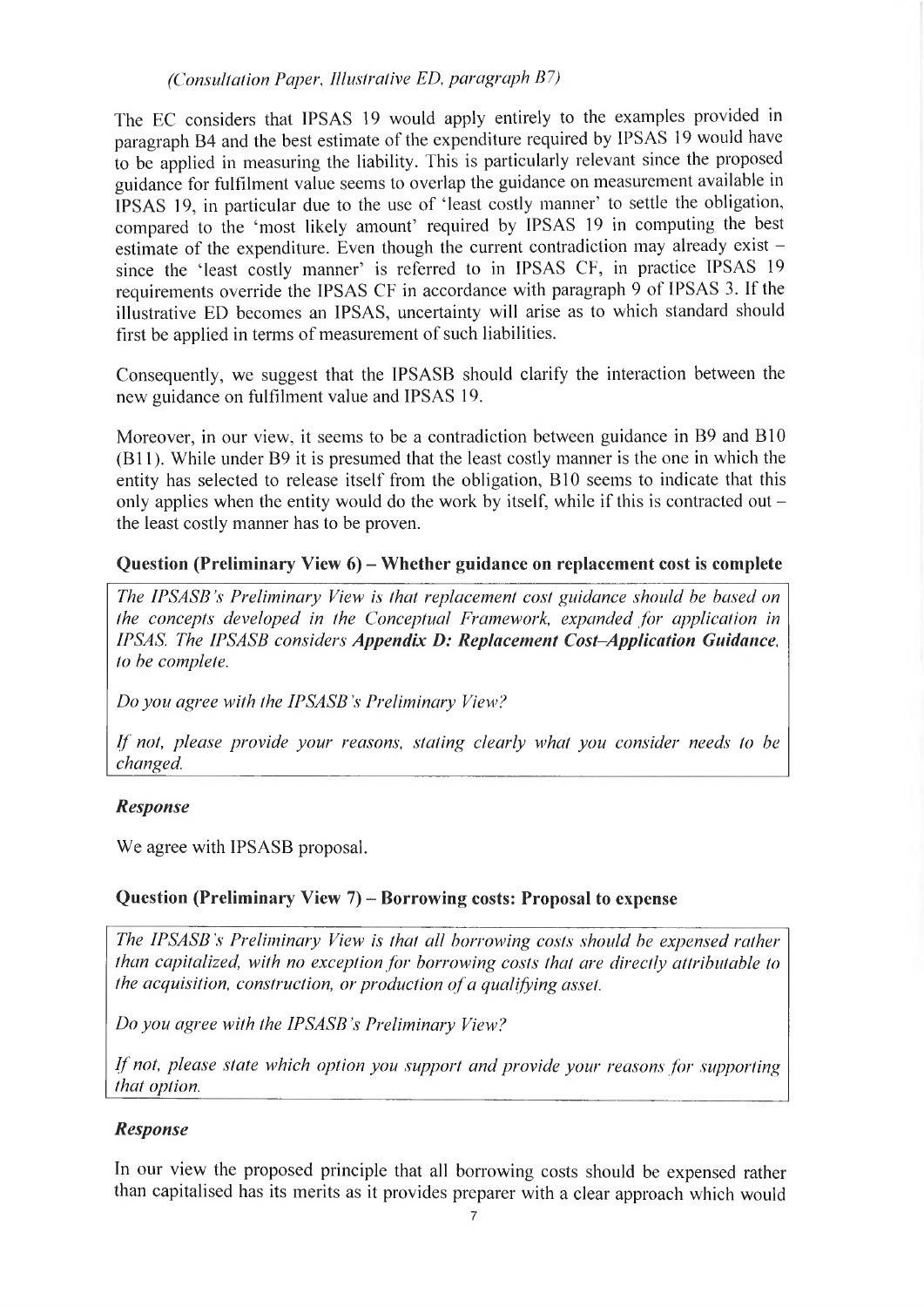*(Consultation Paper*, *Illustrative ED, paragraph B7)*

The EC considers that IPSAS 19 would apply entirely to the examples provided in paragraph B4 and the best estimate of the expenditure required by IPSAS 19 would have to be applied in measuring the liability. This is particularly relevant since the proposed guidance for fulfilment value seems to overlap the guidance on measurement available in IPSAS 19, in particular due to the use of 'least costly manner' to settle the obligation, compared to the 'most likely amount' required by IPSAS 19 in computing the best estimate of the expenditure. Even though the current contradiction may already exist since the 'least costly manner' is referred to in IPSAS CF, in practice IPSAS 19 requirements override the IPSAS CF in accordance with paragraph 9 of IPSAS 3. If the illustrative ED becomes an IPSAS, uncertainty will arise as to which standard should first be applied in terms of measurement of such liabilities.

Consequently, we suggest that the IPSASB should clarify the interaction between the new guidance on fulfilment value and IPSAS 19.

Moreover, in our view, it seems to be a contradiction between guidance in B9 and B10 (BÍ 1). While under B9 it is presumed that the least costly manner is the one in which the entity has selected to release itself from the obligation, BIO seems to indicate that this only applies when the entity would do the work by itself, while if this is contracted out  $$ the least costly manner has to be proven.

## **Question (Preliminary View 6) - Whether guidance on replacement cost is complete**

*The IPSASB's Preliminary View' is that replacement cost guidance should be based on the concepts developed in the Conceptual Framework, expanded for application in IPSAS. The IPSASB considers Appendix D: Replacement Cost-Application Guidance, to be complete.*

*Do you agree with the IPSASB 's Preliminary View?*

*If not, please provide your reasons, stating clearly what you consider needs to be changed.*

#### *Response*

We agree with IPSASB proposal.

#### **Question (Preliminary View 7) - Borrowing costs: Proposal to expense**

*The IPSASB's Preliminary View is that all borrowing costs should be expensed rather than capitalized, with no exception for borrowing costs that are directly attributable to the acquisition, construction, or production ofa qualifying asset.*

*Do you agree with the IPSASB s Preliminary View?*

*If not, please state which option you support and provide your reasonsfor supporting that option.*

#### *Response*

In our view the proposed principle that all borrowing costs should be expensed rather than capitalised has its merits as it provides preparer with a clear approach which would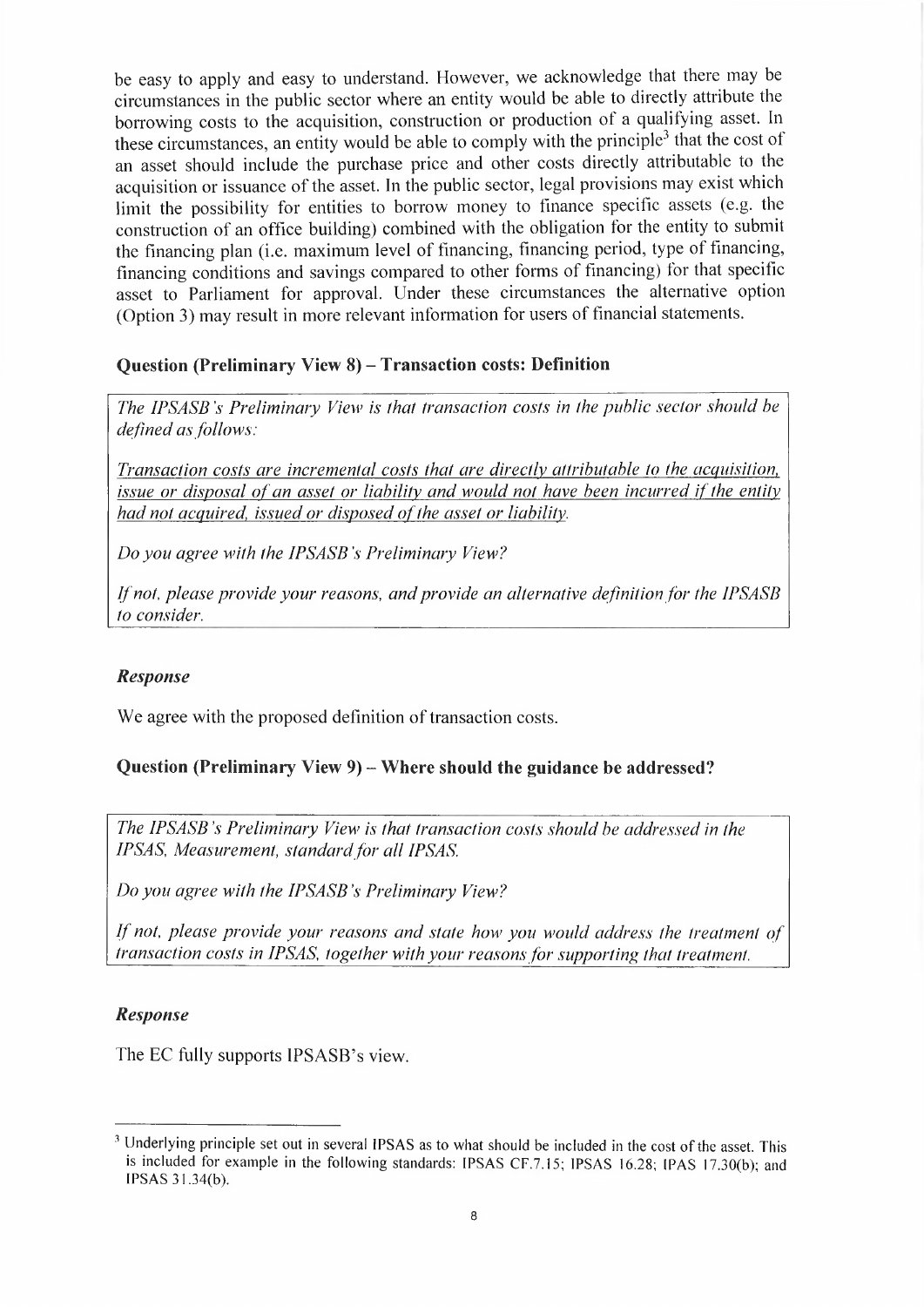be easy to apply and easy to understand. However, we acknowledge that there may be circumstances in the public sector where an entity would be able to directly attribute the borrowing costs to the acquisition, construction or production oí a qualifying asset. In these circumstances, an entity would be able to comply with the principle<sup>3</sup> that the cost of an asset should include the purchase price and other costs directly attributable to the acquisition or issuance of the asset. In the public sector, legal provisions may exist which limit the possibility for entities to borrow money to finance specific assets (e.g. the construction of an office building) combined with the obligation for the entity to submit the financing plan (i.e. maximum level of financing, financing period, type of financing, financing conditions and savings compared to other forms of financing) for that specific asset to Parliament for approval. Under these circumstances the alternative option (Option 3) may result in more relevant information for users of financial statements.

# **Question (Preliminary View 8) - Transaction costs: Definition**

*The IPSASB's Preliminary View is that transaction costs in the public sector should be defined as follows:*

*Transaction costs are incremental costs that are directly attributable to the acquisition, issue or disposal of an asset or liability and would not have been incurred if the entity had not acquired, issued or disposed ofthe asset or liability.*

*Do you agree with the IPSASB 's Preliminary View?*

*Ifnot, please provide your reasons, andprovide an alternative definition for the IPSASB to consider.*

# *Response*

We agree with the proposed definition of transaction costs.

# **Question (Preliminary View 9) - Where should the guidance be addressed?**

*The IPSASB 's Preliminary View is that transaction costs should be addressed in the IPSAS, Measurement, standard for all IPSAS.*

*Do you agree with the IPSASB's Preliminary View?*

*If not, please provide your reasons and state how you would address the treatment of transaction costs in IPSAS, together with your reasons for supporting that treatment.*

#### *Response*

The EC fully supports IPSASB's view.

<sup>&</sup>lt;sup>3</sup> Underlying principle set out in several IPSAS as to what should be included in the cost of the asset. This is included for example in the following standards: IPSAS CF.7.15; IPSAS 16.28; IPAS 17.30(b); and IPSAS 31.34(b).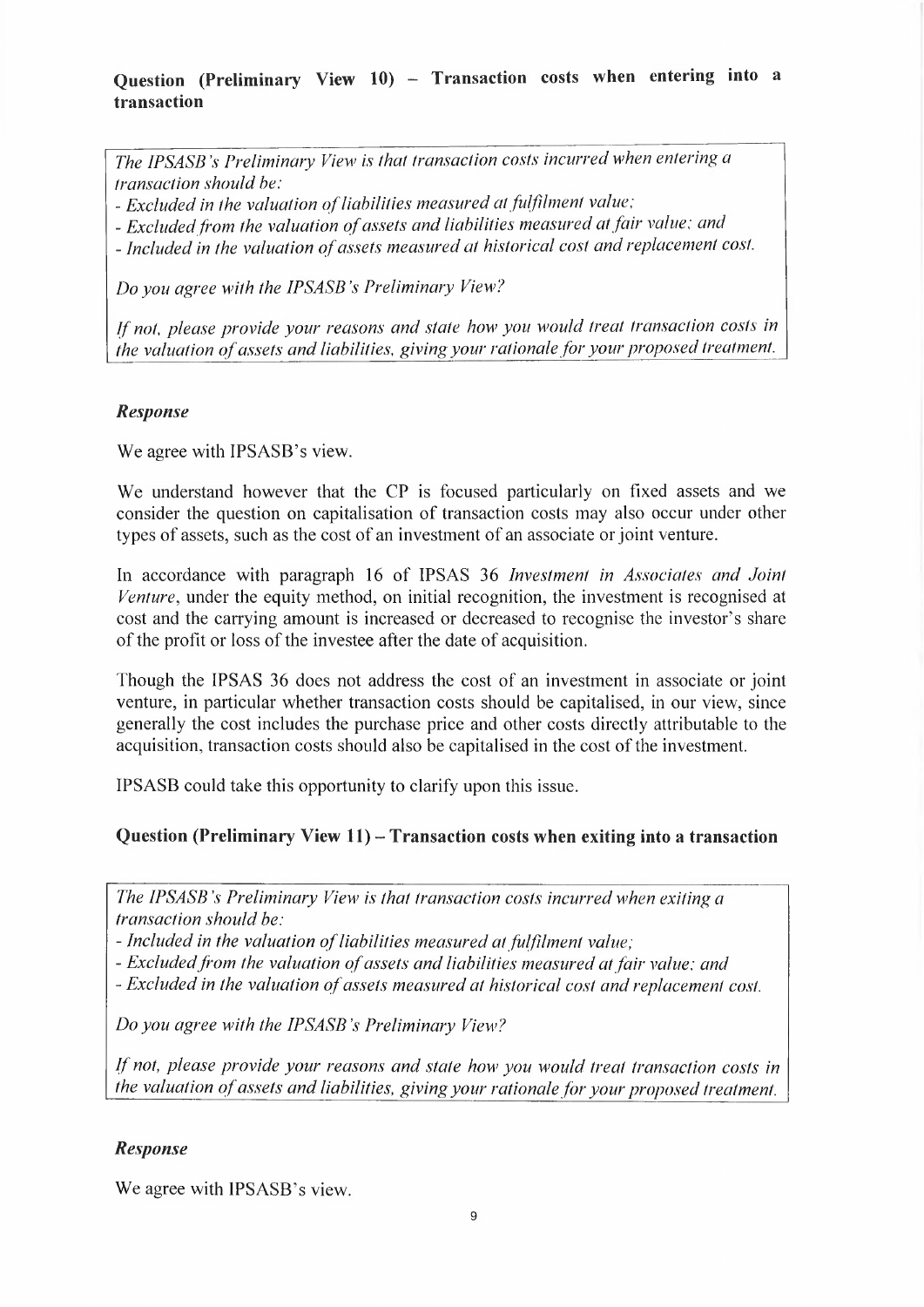# **Question (Preliminary View 10) — Transaction costs when entering into a transaction**

*The IPSASB 's Preliminary View is that transaction costs incurred when entering a transaction should be:*

- *- Excluded in the valuation ofliabilities measured atfulfilment value:*
- *- Excludedfrom the valuation ofassets and liabilities measured atfair value: and*
- *- Included in the valuation ofassets measured at historical cost and replacement cost.*

*Do you agree with the IPSASB 's Preliminary View?*

*Ifnot, please provide your reasons and state how you would treat transaction costs in the valuation ofassets and liabilities, giving your rationalefor your proposed treatment.*

## *Response*

We agree with IPSASB's view.

We understand however that the CP is focused particularly on fixed assets and we consider the question on capitalisation of transaction costs may also occur under other types of assets, such as the cost of an investment of an associate or joint venture.

In accordance with paragraph 16 of IPSAS 36 *Investment in Associates and Joint Venture,* under the equity method, on initial recognition, the investment is recognised at cost and the carrying amount is increased or decreased to recognise the investor's share of the profit or loss of the investee after the date of acquisition.

Though the IPSAS 36 does not address the cost of an investment in associate or joint venture, in particular whether transaction costs should be capitalised, in our view, since generally the cost includes the purchase price and other costs directly attributable to the acquisition, transaction costs should also be capitalised in the cost of the investment.

IPSASB could take this opportunity to clarify upon this issue.

# **Question (Preliminary View 11) - Transaction costs when exiting into <sup>a</sup> transaction**

*The IPSASB 's Preliminary View is that transaction costs incurred when exiting a transaction should be:*

*- Included in the valuation ofliabilities measured at fulfillment value;*

*- Excludedfrom the valuation ofassets and liabilities measured at fair value; and*

*- Excluded in the valuation ofassets measured at historical cost and replacement cost.*

*Do you agree with the IPSASB's Preliminary View?*

*If not, please provide your reasons and state how you would treat transaction costs in the valuation of assets and liabilities, givingyour rationale for your proposed treatment.*

#### *Response*

We agree with IPSASB's view.